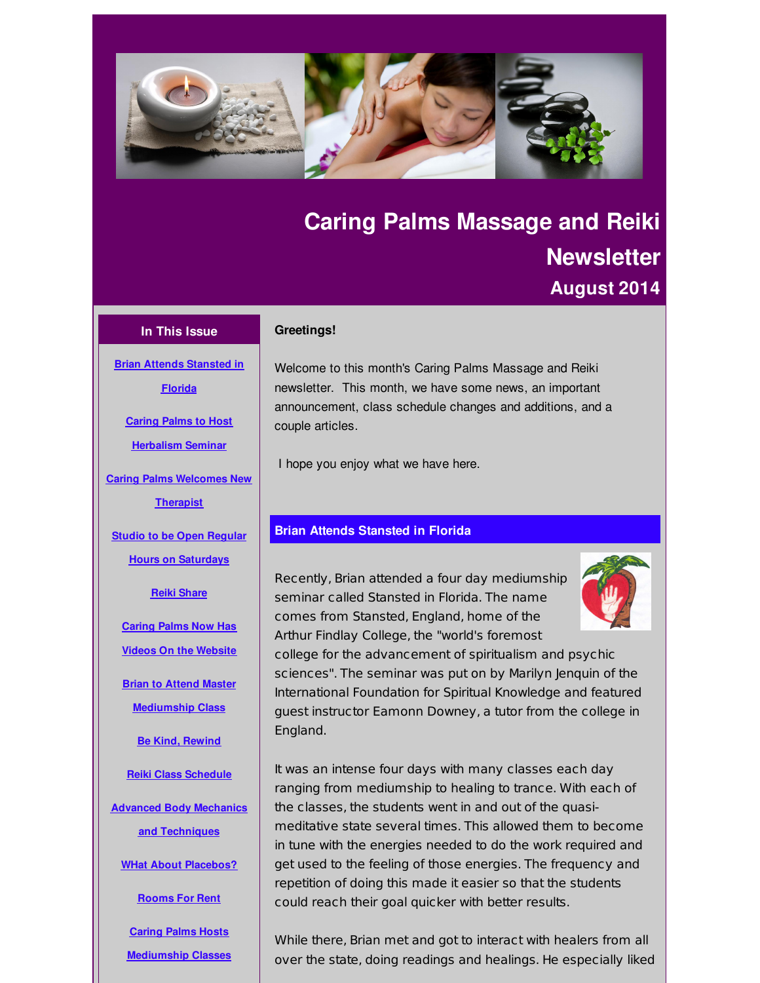<span id="page-0-0"></span>

# **Caring Palms Massage and Reiki Newsletter August 2014**

# **In This Issue**

**Brian Attends [Stansted](#page-0-0) in Florida**

## **Greetings!**

Welcome to this month's Caring Palms Massage and Reiki newsletter. This month, we have some news, an important announcement, class schedule changes and additions, and a couple articles.

I hope you enjoy what we have here.

# **Brian Attends Stansted in Florida**

Recently, Brian attended a four day mediumship seminar called Stansted in Florida. The name comes from Stansted, England, home of the Arthur Findlay College, the "world's foremost



college for the advancement of spiritualism and psychic sciences". The seminar was put on by Marilyn Jenquin of the International Foundation for Spiritual Knowledge and featured guest instructor Eamonn Downey, a tutor from the college in England.

It was an intense four days with many classes each day ranging from mediumship to healing to trance. With each of the classes, the students went in and out of the quasimeditative state several times. This allowed them to become in tune with the energies needed to do the work required and get used to the feeling of those energies. The frequency and repetition of doing this made it easier so that the students could reach their goal quicker with better results.

While there, Brian met and got to interact with healers from all over the state, doing readings and healings. He especially liked

**Caring Palms to Host [Herbalism](#page-0-0) Seminar**

**Caring Palms [Welcomes](#page-0-0) New**

**Therapist**

**Studio to be Open Regular Hours on [Saturdays](#page-0-0)**

**Reiki [Share](#page-0-0)**

**Caring Palms Now Has Videos On the [Website](#page-0-0)**

**Brian to Attend Master [Mediumship](#page-0-0) Class**

**Be Kind, [Rewind](#page-0-0)**

**Reiki Class [Schedule](#page-0-0)**

**Advanced Body Mechanics and [Techniques](#page-0-0)**

**WHat About [Placebos?](#page-0-0)**

**[Rooms](#page-0-0) For Rent**

**Caring Palms Hosts [Mediumship](#page-0-0) Classes**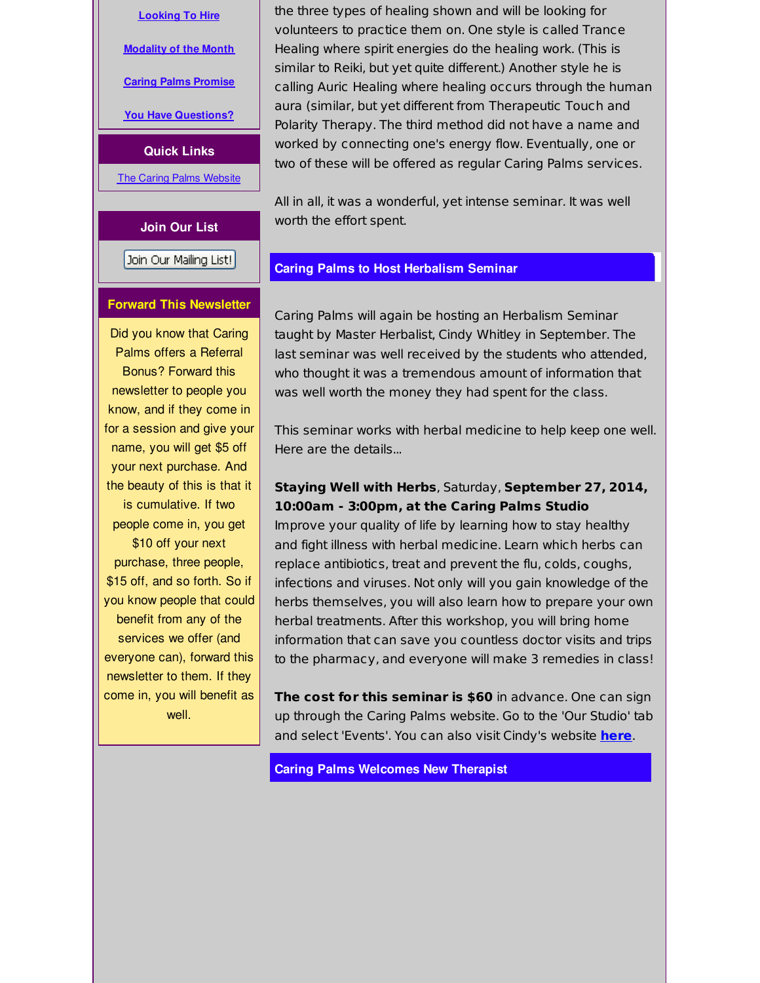**[Looking](#page-0-0) To Hire**

**[Modality](#page-0-0) of the Month**

**Caring Palms [Promise](#page-0-0)**

**You Have [Questions?](#page-0-0)**

**Quick Links**

**The Caring Palms [Website](http://r20.rs6.net/tn.jsp?f=001y1ltD-1ldJDzDiVwNHG-Es5HooYJqU2RTJRjSvwn_LiyjeQXwVNZuK_Hwz_dAh0gU0j38zH6r_SoM4DEZXn60gmlZJp0PzjpMgT0R3xeAC1jvUz7fiAEks_gr2xXZiC3plRWNy2XtV08g3B1ukrA7KREnIG1_o5-sOu2XP773-o=&c=&ch=)** 

#### **Join Our List**

Join Our Mailing List!

#### **Forward This Newsletter**

Did you know that Caring Palms offers a Referral Bonus? Forward this newsletter to people you know, and if they come in for a session and give your name, you will get \$5 off your next purchase. And the beauty of this is that it is cumulative. If two people come in, you get \$10 off your next purchase, three people, \$15 off, and so forth. So if you know people that could benefit from any of the services we offer (and everyone can), forward this newsletter to them. If they come in, you will benefit as well.

the three types of healing shown and will be looking for volunteers to practice them on. One style is called Trance Healing where spirit energies do the healing work. (This is similar to Reiki, but yet quite different.) Another style he is calling Auric Healing where healing occurs through the human aura (similar, but yet different from Therapeutic Touch and Polarity Therapy. The third method did not have a name and worked by connecting one's energy flow. Eventually, one or two of these will be offered as regular Caring Palms services.

All in all, it was a wonderful, yet intense seminar. It was well worth the effort spent.

# **Caring Palms to Host Herbalism Seminar**

Caring Palms will again be hosting an Herbalism Seminar taught by Master Herbalist, Cindy Whitley in September. The last seminar was well received by the students who attended, who thought it was a tremendous amount of information that was well worth the money they had spent for the class.

This seminar works with herbal medicine to help keep one well. Here are the details...

# **Staying Well with Herbs**, Saturday, **September 27, 2014, 10:00am - 3:00pm, at the Caring Palms Studio**

Improve your quality of life by learning how to stay healthy and fight illness with herbal medicine. Learn which herbs can replace antibiotics, treat and prevent the flu, colds, coughs, infections and viruses. Not only will you gain knowledge of the herbs themselves, you will also learn how to prepare your own herbal treatments. After this workshop, you will bring home information that can save you countless doctor visits and trips to the pharmacy, and everyone will make 3 remedies in class!

**The cost for this seminar is \$60** in advance. One can sign up through the Caring Palms website. Go to the 'Our Studio' tab and select 'Events'. You can also visit Cindy's website **[here](http://r20.rs6.net/tn.jsp?f=001y1ltD-1ldJDzDiVwNHG-Es5HooYJqU2RTJRjSvwn_LiyjeQXwVNZuMR9K5qW7HTVHQE1kix9nvddkUE4Z25-kfLMilU2_BIcdw47cbBtlg-8Laa3gX-7nnFVajdgfZrxNKq_7TrNy41Max2M8UYwJhUyEMdg05TsU667ggo_fjE=&c=&ch=)**.

**Caring Palms Welcomes New Therapist**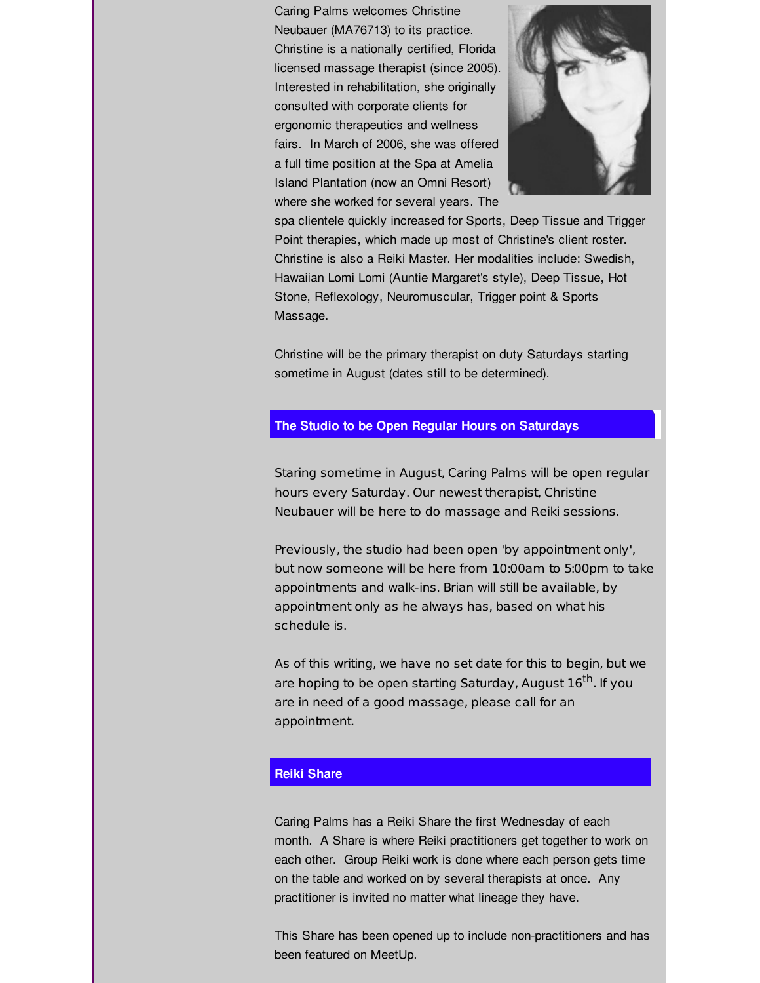Caring Palms welcomes Christine Neubauer (MA76713) to its practice. Christine is a nationally certified, Florida licensed massage therapist (since 2005). Interested in rehabilitation, she originally consulted with corporate clients for ergonomic therapeutics and wellness fairs. In March of 2006, she was offered a full time position at the Spa at Amelia Island Plantation (now an Omni Resort) where she worked for several years. The



spa clientele quickly increased for Sports, Deep Tissue and Trigger Point therapies, which made up most of Christine's client roster. Christine is also a Reiki Master. Her modalities include: Swedish, Hawaiian Lomi Lomi (Auntie Margaret's style), Deep Tissue, Hot Stone, Reflexology, Neuromuscular, Trigger point & Sports Massage.

Christine will be the primary therapist on duty Saturdays starting sometime in August (dates still to be determined).

# **The Studio to be Open Regular Hours on Saturdays**

Staring sometime in August, Caring Palms will be open regular hours every Saturday. Our newest therapist, Christine Neubauer will be here to do massage and Reiki sessions.

Previously, the studio had been open 'by appointment only', but now someone will be here from 10:00am to 5:00pm to take appointments and walk-ins. Brian will still be available, by appointment only as he always has, based on what his schedule is.

As of this writing, we have no set date for this to begin, but we are hoping to be open starting Saturday, August 16<sup>th</sup>. If you are in need of a good massage, please call for an appointment.

#### **Reiki Share**

Caring Palms has a Reiki Share the first Wednesday of each month. A Share is where Reiki practitioners get together to work on each other. Group Reiki work is done where each person gets time on the table and worked on by several therapists at once. Any practitioner is invited no matter what lineage they have.

This Share has been opened up to include non-practitioners and has been featured on MeetUp.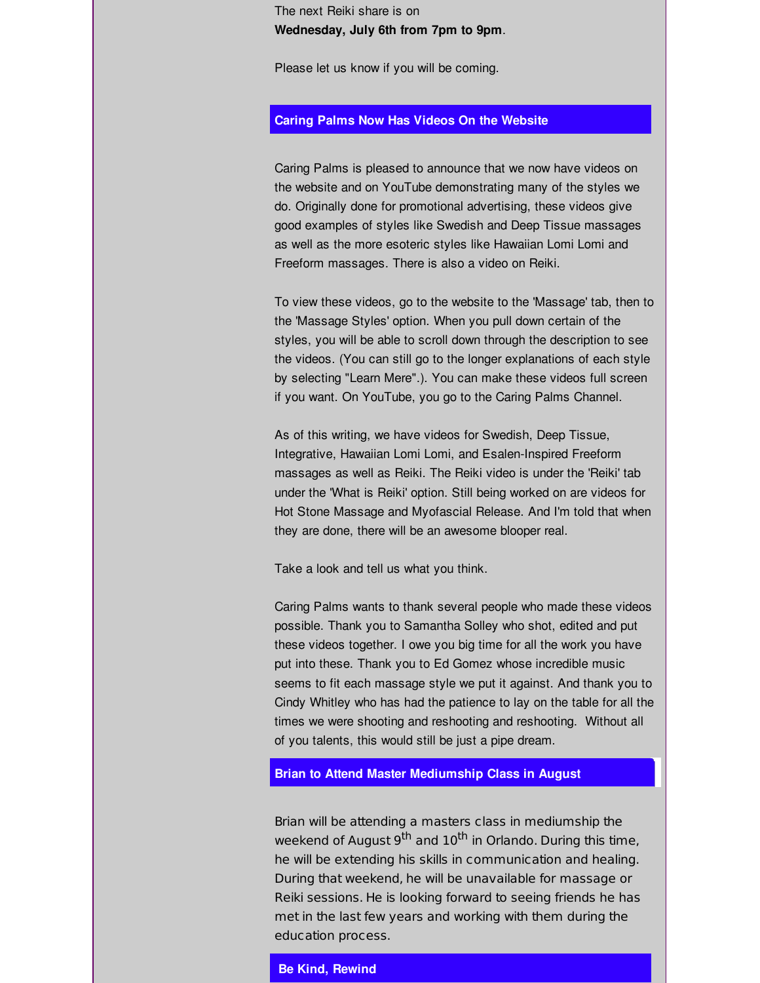The next Reiki share is on **Wednesday, July 6th from 7pm to 9pm**.

Please let us know if you will be coming.

### **Caring Palms Now Has Videos On the Website**

Caring Palms is pleased to announce that we now have videos on the website and on YouTube demonstrating many of the styles we do. Originally done for promotional advertising, these videos give good examples of styles like Swedish and Deep Tissue massages as well as the more esoteric styles like Hawaiian Lomi Lomi and Freeform massages. There is also a video on Reiki.

To view these videos, go to the website to the 'Massage' tab, then to the 'Massage Styles' option. When you pull down certain of the styles, you will be able to scroll down through the description to see the videos. (You can still go to the longer explanations of each style by selecting "Learn Mere".). You can make these videos full screen if you want. On YouTube, you go to the Caring Palms Channel.

As of this writing, we have videos for Swedish, Deep Tissue, Integrative, Hawaiian Lomi Lomi, and Esalen-Inspired Freeform massages as well as Reiki. The Reiki video is under the 'Reiki' tab under the 'What is Reiki' option. Still being worked on are videos for Hot Stone Massage and Myofascial Release. And I'm told that when they are done, there will be an awesome blooper real.

Take a look and tell us what you think.

Caring Palms wants to thank several people who made these videos possible. Thank you to Samantha Solley who shot, edited and put these videos together. I owe you big time for all the work you have put into these. Thank you to Ed Gomez whose incredible music seems to fit each massage style we put it against. And thank you to Cindy Whitley who has had the patience to lay on the table for all the times we were shooting and reshooting and reshooting. Without all of you talents, this would still be just a pipe dream.

## **Brian to Attend Master Mediumship Class in August**

Brian will be attending a masters class in mediumship the weekend of August 9<sup>th</sup> and 10<sup>th</sup> in Orlando. During this time, he will be extending his skills in communication and healing. During that weekend, he will be unavailable for massage or Reiki sessions. He is looking forward to seeing friends he has met in the last few years and working with them during the education process.

# **Be Kind, Rewind**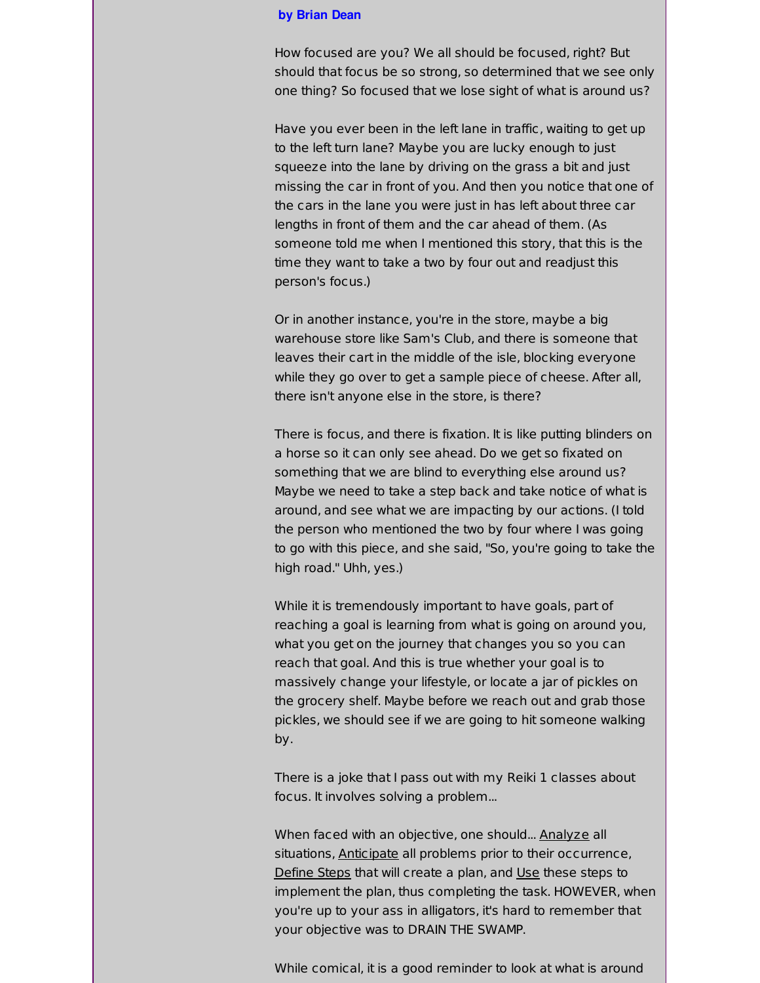#### **by Brian Dean**

How focused are you? We all should be focused, right? But should that focus be so strong, so determined that we see only one thing? So focused that we lose sight of what is around us?

Have you ever been in the left lane in traffic, waiting to get up to the left turn lane? Maybe you are lucky enough to just squeeze into the lane by driving on the grass a bit and just missing the car in front of you. And then you notice that one of the cars in the lane you were just in has left about three car lengths in front of them and the car ahead of them. (As someone told me when I mentioned this story, that this is the time they want to take a two by four out and readjust this person's focus.)

Or in another instance, you're in the store, maybe a big warehouse store like Sam's Club, and there is someone that leaves their cart in the middle of the isle, blocking everyone while they go over to get a sample piece of cheese. After all, there isn't anyone else in the store, is there?

There is focus, and there is fixation. It is like putting blinders on a horse so it can only see ahead. Do we get so fixated on something that we are blind to everything else around us? Maybe we need to take a step back and take notice of what is around, and see what we are impacting by our actions. (I told the person who mentioned the two by four where I was going to go with this piece, and she said, "So, you're going to take the high road." Uhh, yes.)

While it is tremendously important to have goals, part of reaching a goal is learning from what is going on around you, what you get on the journey that changes you so you can reach that goal. And this is true whether your goal is to massively change your lifestyle, or locate a jar of pickles on the grocery shelf. Maybe before we reach out and grab those pickles, we should see if we are going to hit someone walking by.

There is a joke that I pass out with my Reiki 1 classes about focus. It involves solving a problem...

When faced with an objective, one should... Analyze all situations, Anticipate all problems prior to their occurrence, Define Steps that will create a plan, and Use these steps to implement the plan, thus completing the task. HOWEVER, when you're up to your ass in alligators, it's hard to remember that your objective was to DRAIN THE SWAMP.

While comical, it is a good reminder to look at what is around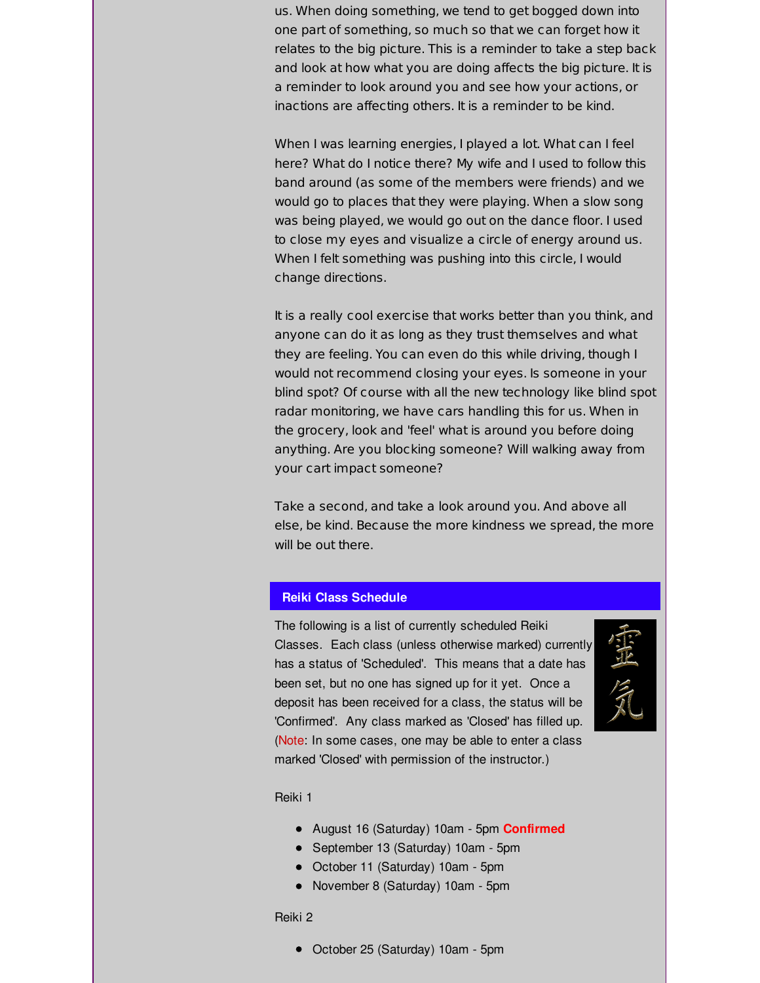us. When doing something, we tend to get bogged down into one part of something, so much so that we can forget how it relates to the big picture. This is a reminder to take a step back and look at how what you are doing affects the big picture. It is a reminder to look around you and see how your actions, or inactions are affecting others. It is a reminder to be kind.

When I was learning energies, I played a lot. What can I feel here? What do I notice there? My wife and I used to follow this band around (as some of the members were friends) and we would go to places that they were playing. When a slow song was being played, we would go out on the dance floor. I used to close my eyes and visualize a circle of energy around us. When I felt something was pushing into this circle, I would change directions.

It is a really cool exercise that works better than you think, and anyone can do it as long as they trust themselves and what they are feeling. You can even do this while driving, though I would not recommend closing your eyes. Is someone in your blind spot? Of course with all the new technology like blind spot radar monitoring, we have cars handling this for us. When in the grocery, look and 'feel' what is around you before doing anything. Are you blocking someone? Will walking away from your cart impact someone?

Take a second, and take a look around you. And above all else, be kind. Because the more kindness we spread, the more will be out there.

# **Reiki Class Schedule**

The following is a list of currently scheduled Reiki Classes. Each class (unless otherwise marked) currently has a status of 'Scheduled'. This means that a date has been set, but no one has signed up for it yet. Once a deposit has been received for a class, the status will be 'Confirmed'. Any class marked as 'Closed' has filled up. (Note: In some cases, one may be able to enter a class marked 'Closed' with permission of the instructor.)



Reiki 1

- August 16 (Saturday) 10am 5pm **Confirmed**
- September 13 (Saturday) 10am 5pm
- October 11 (Saturday) 10am 5pm
- November 8 (Saturday) 10am 5pm

#### Reiki 2

October 25 (Saturday) 10am - 5pm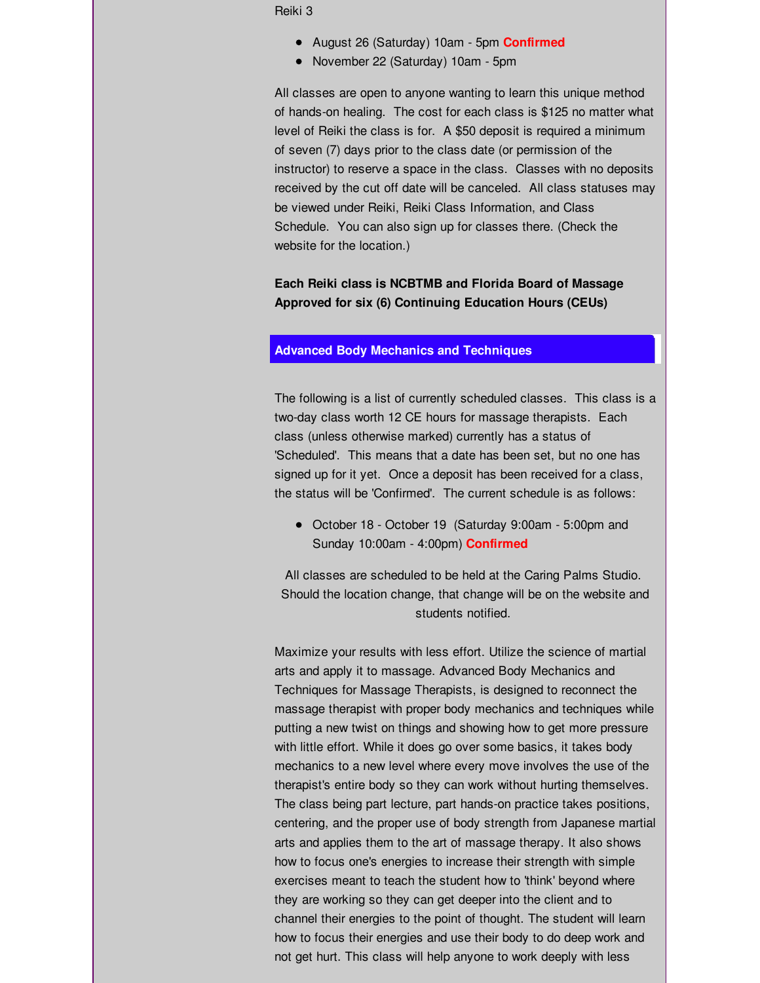Reiki 3

- August 26 (Saturday) 10am 5pm **Confirmed**
- November 22 (Saturday) 10am 5pm

All classes are open to anyone wanting to learn this unique method of hands-on healing. The cost for each class is \$125 no matter what level of Reiki the class is for. A \$50 deposit is required a minimum of seven (7) days prior to the class date (or permission of the instructor) to reserve a space in the class. Classes with no deposits received by the cut off date will be canceled. All class statuses may be viewed under Reiki, Reiki Class Information, and Class Schedule. You can also sign up for classes there. (Check the website for the location.)

**Each Reiki class is NCBTMB and Florida Board of Massage Approved for six (6) Continuing Education Hours (CEUs)**

## **Advanced Body Mechanics and Techniques**

The following is a list of currently scheduled classes. This class is a two-day class worth 12 CE hours for massage therapists. Each class (unless otherwise marked) currently has a status of 'Scheduled'. This means that a date has been set, but no one has signed up for it yet. Once a deposit has been received for a class, the status will be 'Confirmed'. The current schedule is as follows:

October 18 - October 19 (Saturday 9:00am - 5:00pm and Sunday 10:00am - 4:00pm) **Confirmed**

All classes are scheduled to be held at the Caring Palms Studio. Should the location change, that change will be on the website and students notified.

Maximize your results with less effort. Utilize the science of martial arts and apply it to massage. Advanced Body Mechanics and Techniques for Massage Therapists, is designed to reconnect the massage therapist with proper body mechanics and techniques while putting a new twist on things and showing how to get more pressure with little effort. While it does go over some basics, it takes body mechanics to a new level where every move involves the use of the therapist's entire body so they can work without hurting themselves. The class being part lecture, part hands-on practice takes positions, centering, and the proper use of body strength from Japanese martial arts and applies them to the art of massage therapy. It also shows how to focus one's energies to increase their strength with simple exercises meant to teach the student how to 'think' beyond where they are working so they can get deeper into the client and to channel their energies to the point of thought. The student will learn how to focus their energies and use their body to do deep work and not get hurt. This class will help anyone to work deeply with less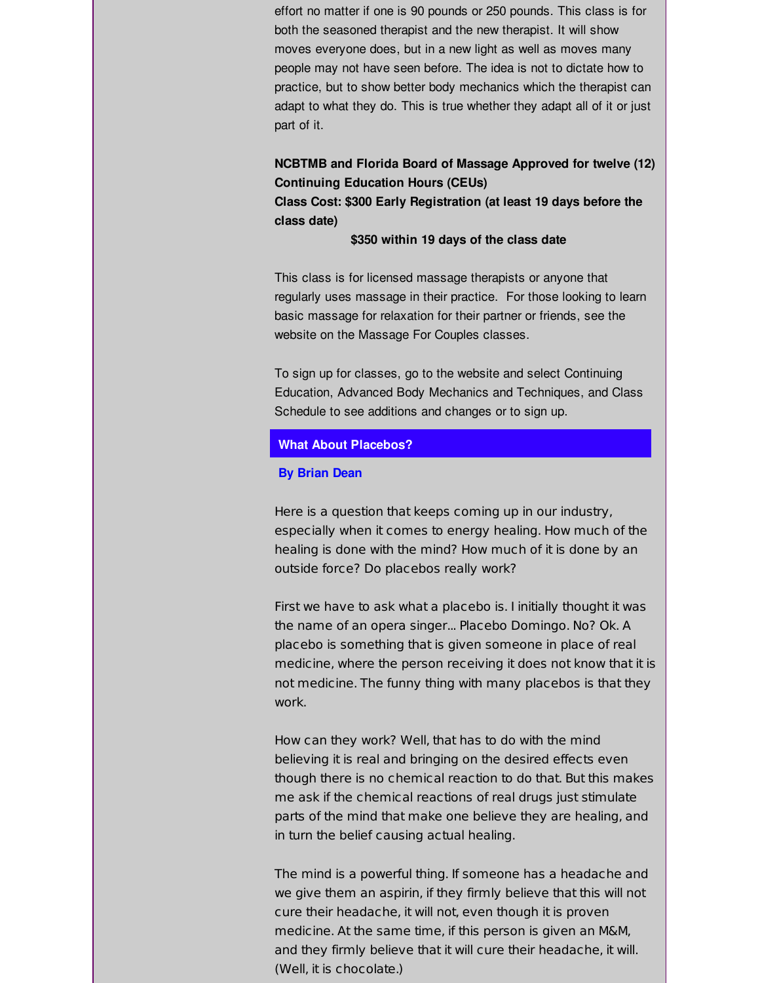effort no matter if one is 90 pounds or 250 pounds. This class is for both the seasoned therapist and the new therapist. It will show moves everyone does, but in a new light as well as moves many people may not have seen before. The idea is not to dictate how to practice, but to show better body mechanics which the therapist can adapt to what they do. This is true whether they adapt all of it or just part of it.

# **NCBTMB and Florida Board of Massage Approved for twelve (12) Continuing Education Hours (CEUs)**

**Class Cost: \$300 Early Registration (at least 19 days before the class date)**

**\$350 within 19 days of the class date**

This class is for licensed massage therapists or anyone that regularly uses massage in their practice. For those looking to learn basic massage for relaxation for their partner or friends, see the website on the Massage For Couples classes.

To sign up for classes, go to the website and select Continuing Education, Advanced Body Mechanics and Techniques, and Class Schedule to see additions and changes or to sign up.

## **What About Placebos?**

#### **By Brian Dean**

Here is a question that keeps coming up in our industry, especially when it comes to energy healing. How much of the healing is done with the mind? How much of it is done by an outside force? Do placebos really work?

First we have to ask what a placebo is. I initially thought it was the name of an opera singer... Placebo Domingo. No? Ok. A placebo is something that is given someone in place of real medicine, where the person receiving it does not know that it is not medicine. The funny thing with many placebos is that they work.

How can they work? Well, that has to do with the mind believing it is real and bringing on the desired effects even though there is no chemical reaction to do that. But this makes me ask if the chemical reactions of real drugs just stimulate parts of the mind that make one believe they are healing, and in turn the belief causing actual healing.

The mind is a powerful thing. If someone has a headache and we give them an aspirin, if they firmly believe that this will not cure their headache, it will not, even though it is proven medicine. At the same time, if this person is given an M&M, and they firmly believe that it will cure their headache, it will. (Well, it is chocolate.)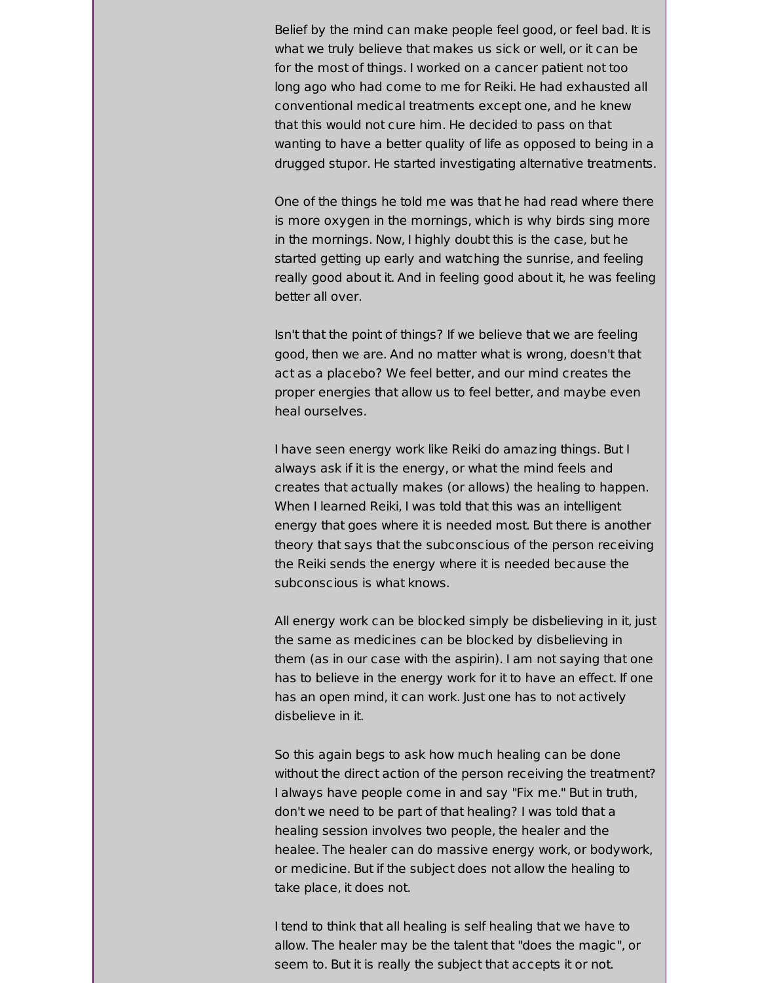Belief by the mind can make people feel good, or feel bad. It is what we truly believe that makes us sick or well, or it can be for the most of things. I worked on a cancer patient not too long ago who had come to me for Reiki. He had exhausted all conventional medical treatments except one, and he knew that this would not cure him. He decided to pass on that wanting to have a better quality of life as opposed to being in a drugged stupor. He started investigating alternative treatments.

One of the things he told me was that he had read where there is more oxygen in the mornings, which is why birds sing more in the mornings. Now, I highly doubt this is the case, but he started getting up early and watching the sunrise, and feeling really good about it. And in feeling good about it, he was feeling better all over.

Isn't that the point of things? If we believe that we are feeling good, then we are. And no matter what is wrong, doesn't that act as a placebo? We feel better, and our mind creates the proper energies that allow us to feel better, and maybe even heal ourselves.

I have seen energy work like Reiki do amazing things. But I always ask if it is the energy, or what the mind feels and creates that actually makes (or allows) the healing to happen. When I learned Reiki, I was told that this was an intelligent energy that goes where it is needed most. But there is another theory that says that the subconscious of the person receiving the Reiki sends the energy where it is needed because the subconscious is what knows.

All energy work can be blocked simply be disbelieving in it, just the same as medicines can be blocked by disbelieving in them (as in our case with the aspirin). I am not saying that one has to believe in the energy work for it to have an effect. If one has an open mind, it can work. Just one has to not actively disbelieve in it.

So this again begs to ask how much healing can be done without the direct action of the person receiving the treatment? I always have people come in and say "Fix me." But in truth, don't we need to be part of that healing? I was told that a healing session involves two people, the healer and the healee. The healer can do massive energy work, or bodywork, or medicine. But if the subject does not allow the healing to take place, it does not.

I tend to think that all healing is self healing that we have to allow. The healer may be the talent that "does the magic", or seem to. But it is really the subject that accepts it or not.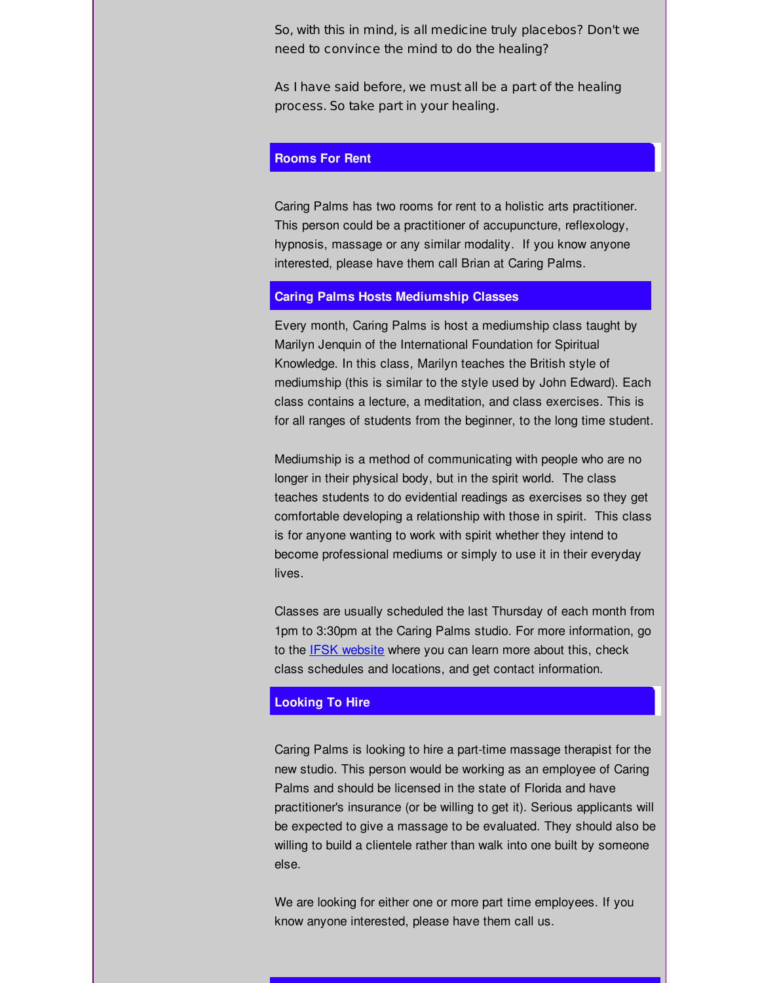So, with this in mind, is all medicine truly placebos? Don't we need to convince the mind to do the healing?

As I have said before, we must all be a part of the healing process. So take part in your healing.

## **Rooms For Rent**

Caring Palms has two rooms for rent to a holistic arts practitioner. This person could be a practitioner of accupuncture, reflexology, hypnosis, massage or any similar modality. If you know anyone interested, please have them call Brian at Caring Palms.

#### **Caring Palms Hosts Mediumship Classes**

Every month, Caring Palms is host a mediumship class taught by Marilyn Jenquin of the International Foundation for Spiritual Knowledge. In this class, Marilyn teaches the British style of mediumship (this is similar to the style used by John Edward). Each class contains a lecture, a meditation, and class exercises. This is for all ranges of students from the beginner, to the long time student.

Mediumship is a method of communicating with people who are no longer in their physical body, but in the spirit world. The class teaches students to do evidential readings as exercises so they get comfortable developing a relationship with those in spirit. This class is for anyone wanting to work with spirit whether they intend to become professional mediums or simply to use it in their everyday lives.

Classes are usually scheduled the last Thursday of each month from 1pm to 3:30pm at the Caring Palms studio. For more information, go to the IFSK [website](http://r20.rs6.net/tn.jsp?f=001y1ltD-1ldJDzDiVwNHG-Es5HooYJqU2RTJRjSvwn_LiyjeQXwVNZuJ018evJmjixrdsV_TsapuhJD5zvVBVGZ7PYZdhsUyDcbN8FRyZ5auIDF3mAqouSdWVOYdQKO2DaOppiKNd7j_GyOjJHdOLNONcp_tfpdb9vPeY8sxqCRcc=&c=&ch=) where you can learn more about this, check class schedules and locations, and get contact information.

## **Looking To Hire**

Caring Palms is looking to hire a part-time massage therapist for the new studio. This person would be working as an employee of Caring Palms and should be licensed in the state of Florida and have practitioner's insurance (or be willing to get it). Serious applicants will be expected to give a massage to be evaluated. They should also be willing to build a clientele rather than walk into one built by someone else.

We are looking for either one or more part time employees. If you know anyone interested, please have them call us.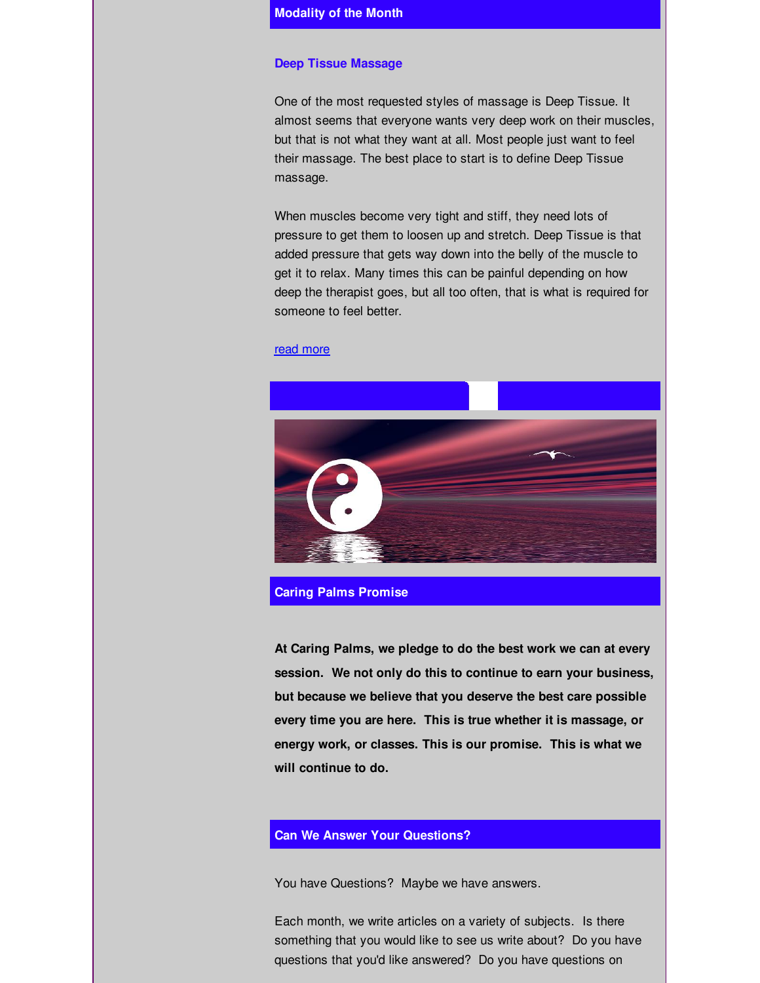#### **Deep Tissue Massage**

One of the most requested styles of massage is Deep Tissue. It almost seems that everyone wants very deep work on their muscles, but that is not what they want at all. Most people just want to feel their massage. The best place to start is to define Deep Tissue massage.

When muscles become very tight and stiff, they need lots of pressure to get them to loosen up and stretch. Deep Tissue is that added pressure that gets way down into the belly of the muscle to get it to relax. Many times this can be painful depending on how deep the therapist goes, but all too often, that is what is required for someone to feel better.

#### read [more](http://r20.rs6.net/tn.jsp?f=001y1ltD-1ldJDzDiVwNHG-Es5HooYJqU2RTJRjSvwn_LiyjeQXwVNZuPkU37ec7LtJSYJ44Ze4BHXCrpYjqh7PiteIajhu9sBs8EDJj1nsc0dtKyXklTT0Dr3Ic8vqmDwAXRfvoE0nQjKoNg8-Ed4xfRjlOjb4qOBJqJTnEam9R7mnbaO_4UNXbyb6JEcagbPjDk2i-Wov6R1l93_MVP0VMA==&c=&ch=)



**Caring Palms Promise**

**At Caring Palms, we pledge to do the best work we can at every session. We not only do this to continue to earn your business, but because we believe that you deserve the best care possible every time you are here. This is true whether it is massage, or energy work, or classes. This is our promise. This is what we will continue to do.**

## **Can We Answer Your Questions?**

You have Questions? Maybe we have answers.

Each month, we write articles on a variety of subjects. Is there something that you would like to see us write about? Do you have questions that you'd like answered? Do you have questions on